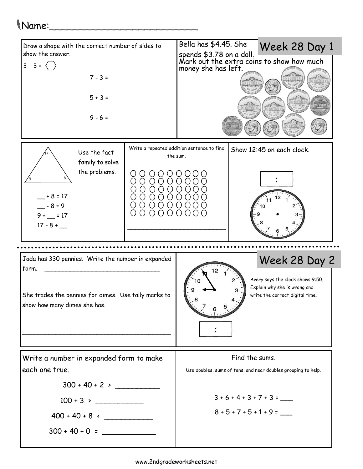## Name:\_\_\_\_\_\_\_\_\_\_\_\_\_\_\_\_\_\_\_\_\_\_\_\_\_

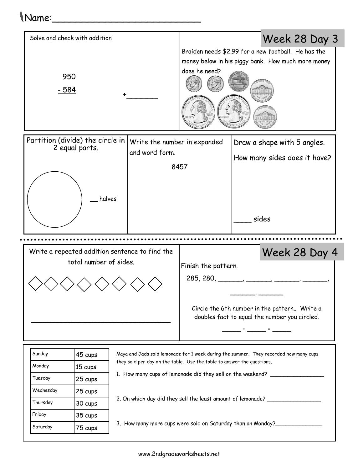## Name:\_\_\_\_\_\_\_\_\_\_\_\_\_\_\_\_\_\_\_\_\_\_\_\_\_